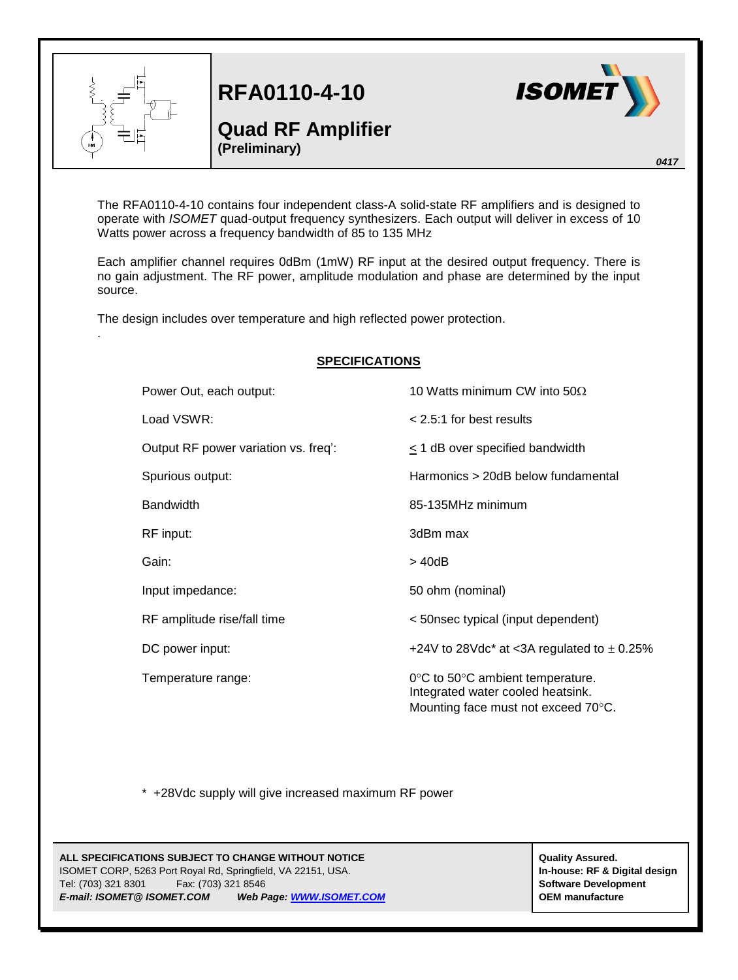

.

**RFA0110-4-10**

## **Quad RF Amplifier (Preliminary)**



*0417*

The RFA0110-4-10 contains four independent class-A solid-state RF amplifiers and is designed to operate with *ISOMET* quad-output frequency synthesizers. Each output will deliver in excess of 10 Watts power across a frequency bandwidth of 85 to 135 MHz

Each amplifier channel requires 0dBm (1mW) RF input at the desired output frequency. There is no gain adjustment. The RF power, amplitude modulation and phase are determined by the input source.

The design includes over temperature and high reflected power protection.

| <b>SPECIFICATIONS</b> |                                      |                                                                                                              |
|-----------------------|--------------------------------------|--------------------------------------------------------------------------------------------------------------|
|                       | Power Out, each output:              | 10 Watts minimum CW into $50\Omega$                                                                          |
|                       | Load VSWR:                           | $< 2.5:1$ for best results                                                                                   |
|                       | Output RF power variation vs. freq': | < 1 dB over specified bandwidth                                                                              |
|                       | Spurious output:                     | Harmonics > 20dB below fundamental                                                                           |
|                       | <b>Bandwidth</b>                     | 85-135MHz minimum                                                                                            |
|                       | RF input:                            | 3dBm max                                                                                                     |
|                       | Gain:                                | > 40dB                                                                                                       |
|                       | Input impedance:                     | 50 ohm (nominal)                                                                                             |
|                       | RF amplitude rise/fall time          | < 50nsec typical (input dependent)                                                                           |
|                       | DC power input:                      | +24V to 28Vdc* at <3A regulated to $\pm$ 0.25%                                                               |
|                       | Temperature range:                   | 0°C to 50°C ambient temperature.<br>Integrated water cooled heatsink.<br>Mounting face must not exceed 70°C. |

\* +28Vdc supply will give increased maximum RF power

## **ALL SPECIFICATIONS SUBJECT TO CHANGE WITHOUT NOTICE ALL SPECIFICATIONS SUBJECT TO CHANGE WITHOUT NOTICE** ISOMET CORP, 5263 Port Royal Rd, Springfield, VA 22151, USA. **In-house: RF & Digital design** Tel: (703) 321 8301 Fax: (703) 321 8546 **Software Development** *E-mail: ISOMET@ ISOMET.COM Web Page[: WWW.ISOMET.COM](http://www.isomet.com/)* **OEM manufacture**